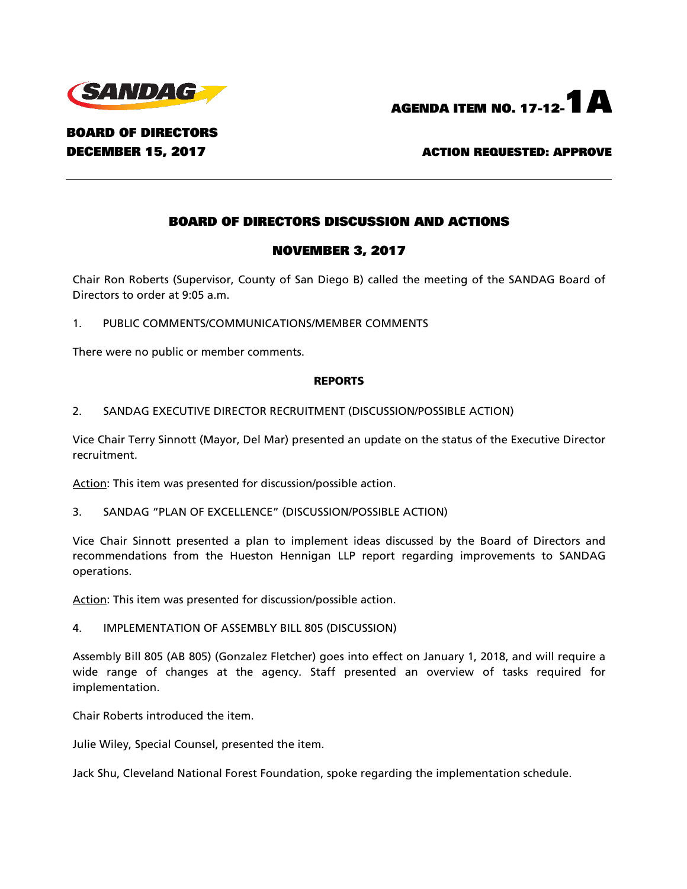



BOARD OF DIRECTORS

DECEMBER 15, 2017 ACTION REQUESTED: APPROVE

# BOARD OF DIRECTORS DISCUSSION AND ACTIONS

# NOVEMBER 3, 2017

Chair Ron Roberts (Supervisor, County of San Diego B) called the meeting of the SANDAG Board of Directors to order at 9:05 a.m.

1. PUBLIC COMMENTS/COMMUNICATIONS/MEMBER COMMENTS

There were no public or member comments.

#### REPORTS

2. SANDAG EXECUTIVE DIRECTOR RECRUITMENT (DISCUSSION/POSSIBLE ACTION)

Vice Chair Terry Sinnott (Mayor, Del Mar) presented an update on the status of the Executive Director recruitment.

Action: This item was presented for discussion/possible action.

3. SANDAG "PLAN OF EXCELLENCE" (DISCUSSION/POSSIBLE ACTION)

Vice Chair Sinnott presented a plan to implement ideas discussed by the Board of Directors and recommendations from the Hueston Hennigan LLP report regarding improvements to SANDAG operations.

Action: This item was presented for discussion/possible action.

## 4. IMPLEMENTATION OF ASSEMBLY BILL 805 (DISCUSSION)

Assembly Bill 805 (AB 805) (Gonzalez Fletcher) goes into effect on January 1, 2018, and will require a wide range of changes at the agency. Staff presented an overview of tasks required for implementation.

Chair Roberts introduced the item.

Julie Wiley, Special Counsel, presented the item.

Jack Shu, Cleveland National Forest Foundation, spoke regarding the implementation schedule.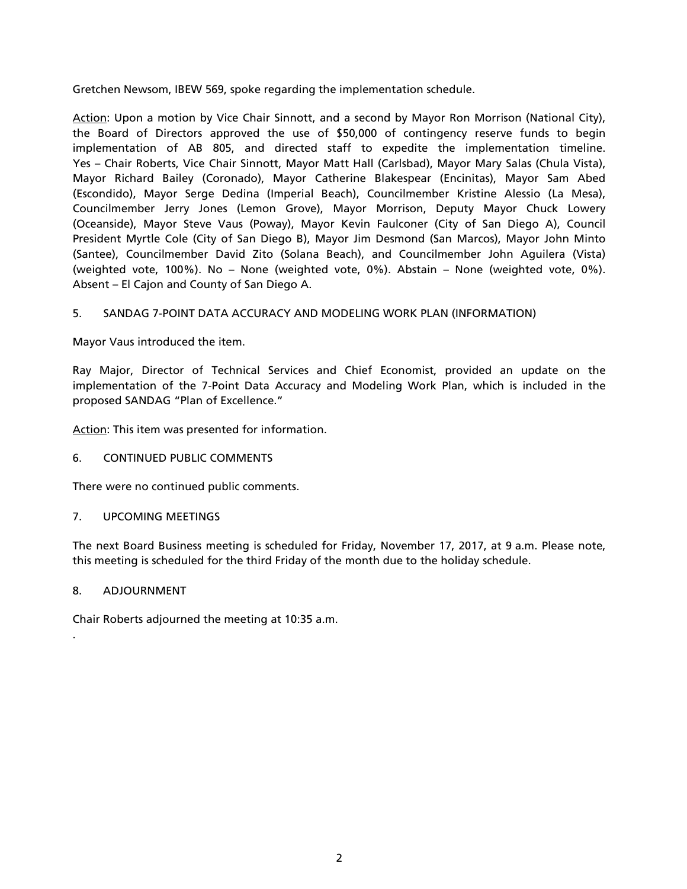Gretchen Newsom, IBEW 569, spoke regarding the implementation schedule.

Action: Upon a motion by Vice Chair Sinnott, and a second by Mayor Ron Morrison (National City), the Board of Directors approved the use of \$50,000 of contingency reserve funds to begin implementation of AB 805, and directed staff to expedite the implementation timeline. Yes – Chair Roberts, Vice Chair Sinnott, Mayor Matt Hall (Carlsbad), Mayor Mary Salas (Chula Vista), Mayor Richard Bailey (Coronado), Mayor Catherine Blakespear (Encinitas), Mayor Sam Abed (Escondido), Mayor Serge Dedina (Imperial Beach), Councilmember Kristine Alessio (La Mesa), Councilmember Jerry Jones (Lemon Grove), Mayor Morrison, Deputy Mayor Chuck Lowery (Oceanside), Mayor Steve Vaus (Poway), Mayor Kevin Faulconer (City of San Diego A), Council President Myrtle Cole (City of San Diego B), Mayor Jim Desmond (San Marcos), Mayor John Minto (Santee), Councilmember David Zito (Solana Beach), and Councilmember John Aguilera (Vista) (weighted vote, 100%). No – None (weighted vote, 0%). Abstain – None (weighted vote, 0%). Absent – El Cajon and County of San Diego A.

# 5. SANDAG 7-POINT DATA ACCURACY AND MODELING WORK PLAN (INFORMATION)

Mayor Vaus introduced the item.

Ray Major, Director of Technical Services and Chief Economist, provided an update on the implementation of the 7-Point Data Accuracy and Modeling Work Plan, which is included in the proposed SANDAG "Plan of Excellence."

Action: This item was presented for information.

## 6. CONTINUED PUBLIC COMMENTS

There were no continued public comments.

## 7. UPCOMING MEETINGS

The next Board Business meeting is scheduled for Friday, November 17, 2017, at 9 a.m. Please note, this meeting is scheduled for the third Friday of the month due to the holiday schedule.

#### 8. ADJOURNMENT

.

Chair Roberts adjourned the meeting at 10:35 a.m.